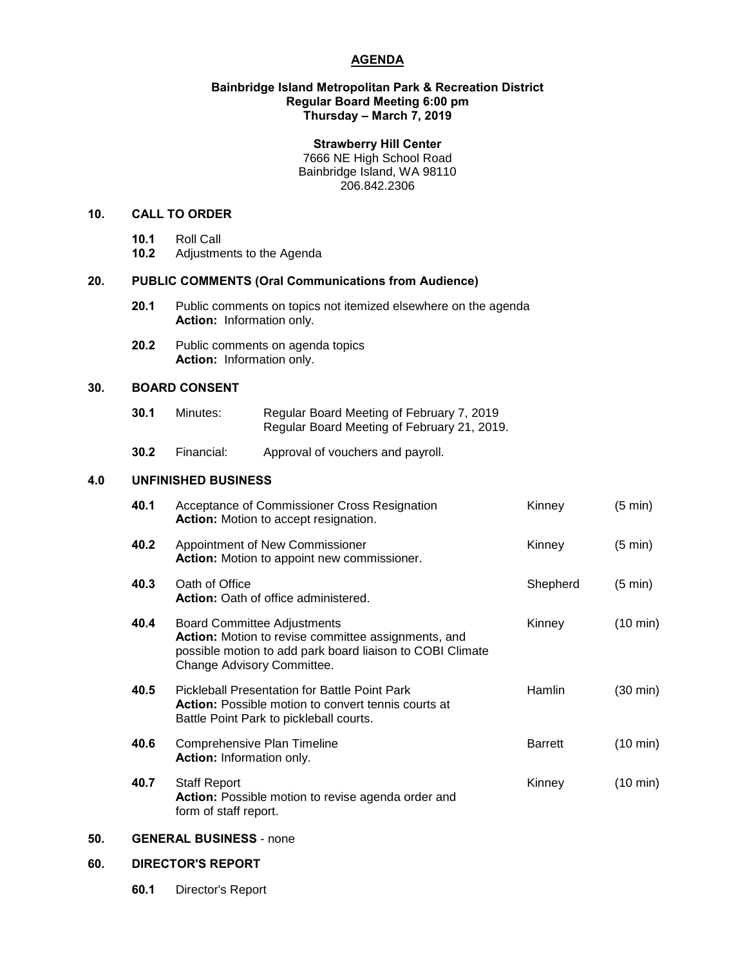# **AGENDA**

#### **Bainbridge Island Metropolitan Park & Recreation District Regular Board Meeting 6:00 pm Thursday – March 7, 2019**

#### **Strawberry Hill Center**

7666 NE High School Road Bainbridge Island, WA 98110 206.842.2306

#### **10. CALL TO ORDER**

- **10.1** Roll Call
- **10.2** Adjustments to the Agenda

# **20. PUBLIC COMMENTS (Oral Communications from Audience)**

- **20.1** Public comments on topics not itemized elsewhere on the agenda **Action:** Information only.
- **20.2** Public comments on agenda topics **Action:** Information only.

## **30. BOARD CONSENT**

| 30.1 | Minutes: | Regular Board Meeting of February 7, 2019   |
|------|----------|---------------------------------------------|
|      |          | Regular Board Meeting of February 21, 2019. |

**30.2** Financial: Approval of vouchers and payroll.

#### **4.0 UNFINISHED BUSINESS**

| 40.1 | Acceptance of Commissioner Cross Resignation<br><b>Action:</b> Motion to accept resignation.                                                                                         | Kinney         | $(5 \text{ min})$  |
|------|--------------------------------------------------------------------------------------------------------------------------------------------------------------------------------------|----------------|--------------------|
| 40.2 | Appointment of New Commissioner<br>Action: Motion to appoint new commissioner.                                                                                                       | Kinney         | $(5 \text{ min})$  |
| 40.3 | Oath of Office<br><b>Action:</b> Oath of office administered.                                                                                                                        | Shepherd       | $(5 \text{ min})$  |
| 40.4 | <b>Board Committee Adjustments</b><br>Action: Motion to revise committee assignments, and<br>possible motion to add park board liaison to COBI Climate<br>Change Advisory Committee. | Kinney         | (10 min)           |
| 40.5 | <b>Pickleball Presentation for Battle Point Park</b><br><b>Action:</b> Possible motion to convert tennis courts at<br>Battle Point Park to pickleball courts.                        | <b>Hamlin</b>  | (30 min)           |
| 40.6 | Comprehensive Plan Timeline<br><b>Action:</b> Information only.                                                                                                                      | <b>Barrett</b> | (10 min)           |
| 40.7 | <b>Staff Report</b><br>Action: Possible motion to revise agenda order and<br>form of staff report.                                                                                   | Kinney         | $(10 \text{ min})$ |

# **50. GENERAL BUSINESS** - none

## **60. DIRECTOR'S REPORT**

**60.1** Director's Report